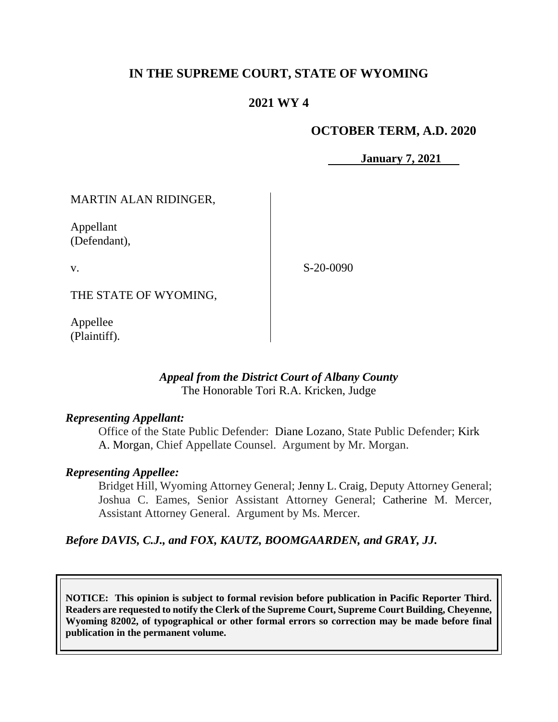# **IN THE SUPREME COURT, STATE OF WYOMING**

## **2021 WY 4**

#### **OCTOBER TERM, A.D. 2020**

**January 7, 2021**

MARTIN ALAN RIDINGER,

Appellant (Defendant),

v.

S-20-0090

THE STATE OF WYOMING,

Appellee (Plaintiff).

#### *Appeal from the District Court of Albany County* The Honorable Tori R.A. Kricken, Judge

#### *Representing Appellant:*

Office of the State Public Defender: Diane Lozano, State Public Defender; [Kirk](https://1.next.westlaw.com/Link/Document/FullText?findType=h&pubNum=176284&cite=0342481001&originatingDoc=I9a7cf9d0af6911ea9e229b5f182c9c44&refType=RQ&originationContext=document&transitionType=DocumentItem&contextData=(sc.UserEnteredCitation)&analyticGuid=I9a7cf9d0af6911ea9e229b5f182c9c44)  [A. Morgan,](https://1.next.westlaw.com/Link/Document/FullText?findType=h&pubNum=176284&cite=0342481001&originatingDoc=I9a7cf9d0af6911ea9e229b5f182c9c44&refType=RQ&originationContext=document&transitionType=DocumentItem&contextData=(sc.UserEnteredCitation)&analyticGuid=I9a7cf9d0af6911ea9e229b5f182c9c44) Chief Appellate Counsel. Argument by Mr. Morgan.

## *Representing Appellee:*

Bridget Hill, Wyoming Attorney General; Jenny L. Craig, Deputy Attorney General; Joshua C. Eames, Senior Assistant Attorney General; Catherine M. Mercer, Assistant Attorney General. Argument by Ms. Mercer.

## *Before DAVIS, C.J., and FOX, KAUTZ, BOOMGAARDEN, and GRAY, JJ.*

**NOTICE: This opinion is subject to formal revision before publication in Pacific Reporter Third. Readers are requested to notify the Clerk of the Supreme Court, Supreme Court Building, Cheyenne, Wyoming 82002, of typographical or other formal errors so correction may be made before final publication in the permanent volume.**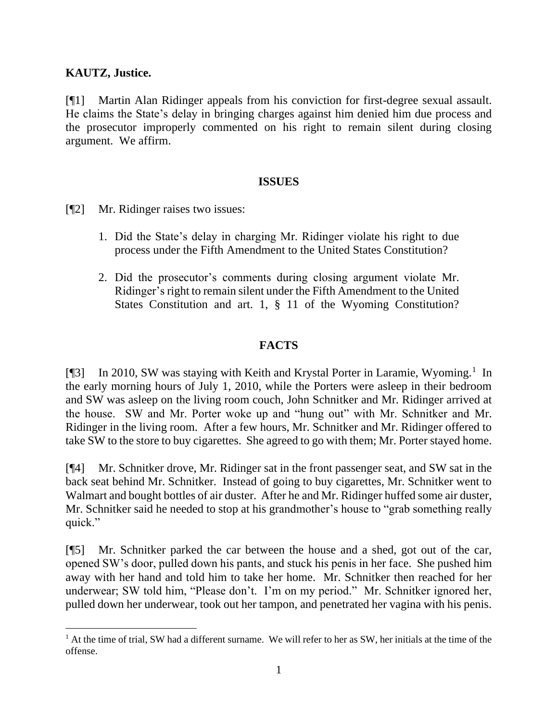## **KAUTZ, Justice.**

[¶1] Martin Alan Ridinger appeals from his conviction for first-degree sexual assault. He claims the State's delay in bringing charges against him denied him due process and the prosecutor improperly commented on his right to remain silent during closing argument. We affirm.

#### **ISSUES**

- [¶2] Mr. Ridinger raises two issues:
	- 1. Did the State's delay in charging Mr. Ridinger violate his right to due process under the Fifth Amendment to the United States Constitution?
	- 2. Did the prosecutor's comments during closing argument violate Mr. Ridinger's right to remain silent under the Fifth Amendment to the United States Constitution and art. 1, § 11 of the Wyoming Constitution?

## **FACTS**

[¶3] In 2010, SW was staying with Keith and Krystal Porter in Laramie, Wyoming.<sup>1</sup> In the early morning hours of July 1, 2010, while the Porters were asleep in their bedroom and SW was asleep on the living room couch, John Schnitker and Mr. Ridinger arrived at the house. SW and Mr. Porter woke up and "hung out" with Mr. Schnitker and Mr. Ridinger in the living room. After a few hours, Mr. Schnitker and Mr. Ridinger offered to take SW to the store to buy cigarettes. She agreed to go with them; Mr. Porter stayed home.

[¶4] Mr. Schnitker drove, Mr. Ridinger sat in the front passenger seat, and SW sat in the back seat behind Mr. Schnitker. Instead of going to buy cigarettes, Mr. Schnitker went to Walmart and bought bottles of air duster. After he and Mr. Ridinger huffed some air duster, Mr. Schnitker said he needed to stop at his grandmother's house to "grab something really quick."

[¶5] Mr. Schnitker parked the car between the house and a shed, got out of the car, opened SW's door, pulled down his pants, and stuck his penis in her face. She pushed him away with her hand and told him to take her home. Mr. Schnitker then reached for her underwear; SW told him, "Please don't. I'm on my period." Mr. Schnitker ignored her, pulled down her underwear, took out her tampon, and penetrated her vagina with his penis.

<sup>&</sup>lt;sup>1</sup> At the time of trial, SW had a different surname. We will refer to her as SW, her initials at the time of the offense.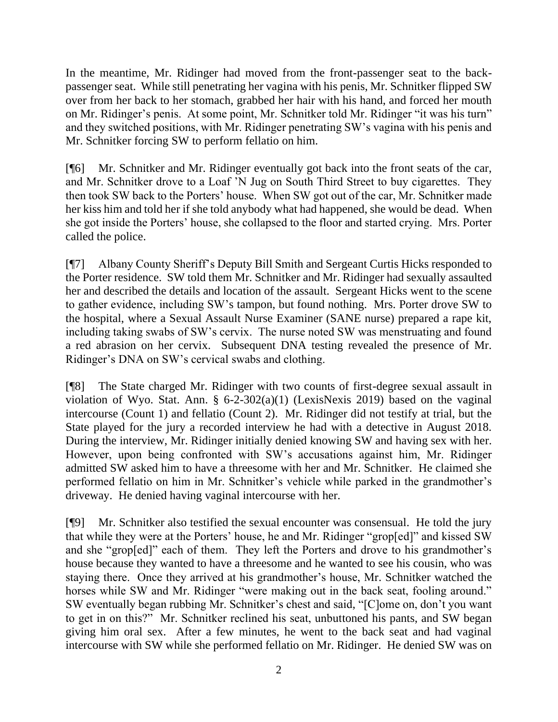In the meantime, Mr. Ridinger had moved from the front-passenger seat to the backpassenger seat. While still penetrating her vagina with his penis, Mr. Schnitker flipped SW over from her back to her stomach, grabbed her hair with his hand, and forced her mouth on Mr. Ridinger's penis. At some point, Mr. Schnitker told Mr. Ridinger "it was his turn" and they switched positions, with Mr. Ridinger penetrating SW's vagina with his penis and Mr. Schnitker forcing SW to perform fellatio on him.

[¶6] Mr. Schnitker and Mr. Ridinger eventually got back into the front seats of the car, and Mr. Schnitker drove to a Loaf 'N Jug on South Third Street to buy cigarettes. They then took SW back to the Porters' house. When SW got out of the car, Mr. Schnitker made her kiss him and told her if she told anybody what had happened, she would be dead. When she got inside the Porters' house, she collapsed to the floor and started crying. Mrs. Porter called the police.

[¶7] Albany County Sheriff's Deputy Bill Smith and Sergeant Curtis Hicks responded to the Porter residence. SW told them Mr. Schnitker and Mr. Ridinger had sexually assaulted her and described the details and location of the assault. Sergeant Hicks went to the scene to gather evidence, including SW's tampon, but found nothing. Mrs. Porter drove SW to the hospital, where a Sexual Assault Nurse Examiner (SANE nurse) prepared a rape kit, including taking swabs of SW's cervix. The nurse noted SW was menstruating and found a red abrasion on her cervix. Subsequent DNA testing revealed the presence of Mr. Ridinger's DNA on SW's cervical swabs and clothing.

[¶8] The State charged Mr. Ridinger with two counts of first-degree sexual assault in violation of Wyo. Stat. Ann. § 6-2-302(a)(1) (LexisNexis 2019) based on the vaginal intercourse (Count 1) and fellatio (Count 2). Mr. Ridinger did not testify at trial, but the State played for the jury a recorded interview he had with a detective in August 2018. During the interview, Mr. Ridinger initially denied knowing SW and having sex with her. However, upon being confronted with SW's accusations against him, Mr. Ridinger admitted SW asked him to have a threesome with her and Mr. Schnitker. He claimed she performed fellatio on him in Mr. Schnitker's vehicle while parked in the grandmother's driveway. He denied having vaginal intercourse with her.

[¶9] Mr. Schnitker also testified the sexual encounter was consensual. He told the jury that while they were at the Porters' house, he and Mr. Ridinger "grop[ed]" and kissed SW and she "grop[ed]" each of them. They left the Porters and drove to his grandmother's house because they wanted to have a threesome and he wanted to see his cousin, who was staying there. Once they arrived at his grandmother's house, Mr. Schnitker watched the horses while SW and Mr. Ridinger "were making out in the back seat, fooling around." SW eventually began rubbing Mr. Schnitker's chest and said, "[C]ome on, don't you want to get in on this?" Mr. Schnitker reclined his seat, unbuttoned his pants, and SW began giving him oral sex. After a few minutes, he went to the back seat and had vaginal intercourse with SW while she performed fellatio on Mr. Ridinger. He denied SW was on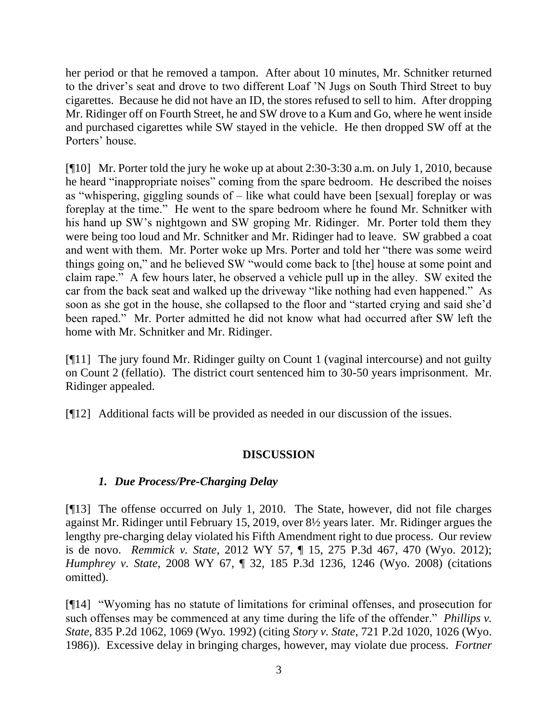her period or that he removed a tampon. After about 10 minutes, Mr. Schnitker returned to the driver's seat and drove to two different Loaf 'N Jugs on South Third Street to buy cigarettes. Because he did not have an ID, the stores refused to sell to him. After dropping Mr. Ridinger off on Fourth Street, he and SW drove to a Kum and Go, where he went inside and purchased cigarettes while SW stayed in the vehicle. He then dropped SW off at the Porters' house.

[¶10] Mr. Porter told the jury he woke up at about 2:30-3:30 a.m. on July 1, 2010, because he heard "inappropriate noises" coming from the spare bedroom. He described the noises as "whispering, giggling sounds of – like what could have been [sexual] foreplay or was foreplay at the time." He went to the spare bedroom where he found Mr. Schnitker with his hand up SW's nightgown and SW groping Mr. Ridinger. Mr. Porter told them they were being too loud and Mr. Schnitker and Mr. Ridinger had to leave. SW grabbed a coat and went with them. Mr. Porter woke up Mrs. Porter and told her "there was some weird things going on," and he believed SW "would come back to [the] house at some point and claim rape." A few hours later, he observed a vehicle pull up in the alley. SW exited the car from the back seat and walked up the driveway "like nothing had even happened." As soon as she got in the house, she collapsed to the floor and "started crying and said she'd been raped." Mr. Porter admitted he did not know what had occurred after SW left the home with Mr. Schnitker and Mr. Ridinger.

[¶11] The jury found Mr. Ridinger guilty on Count 1 (vaginal intercourse) and not guilty on Count 2 (fellatio). The district court sentenced him to 30-50 years imprisonment. Mr. Ridinger appealed.

[¶12] Additional facts will be provided as needed in our discussion of the issues.

# **DISCUSSION**

## *1. Due Process/Pre-Charging Delay*

[¶13] The offense occurred on July 1, 2010. The State, however, did not file charges against Mr. Ridinger until February 15, 2019, over 8½ years later. Mr. Ridinger argues the lengthy pre-charging delay violated his Fifth Amendment right to due process. Our review is de novo. *Remmick v. State*, 2012 WY 57, ¶ 15, 275 P.3d 467, 470 (Wyo. 2012); *Humphrey v. State*, 2008 WY 67, ¶ 32, 185 P.3d 1236, 1246 (Wyo. 2008) (citations omitted).

[¶14] "Wyoming has no statute of limitations for criminal offenses, and prosecution for such offenses may be commenced at any time during the life of the offender." *Phillips v. State*, 835 P.2d 1062, 1069 (Wyo. 1992) (citing *Story v. State*, 721 P.2d 1020, 1026 (Wyo. 1986)). Excessive delay in bringing charges, however, may violate due process. *Fortner*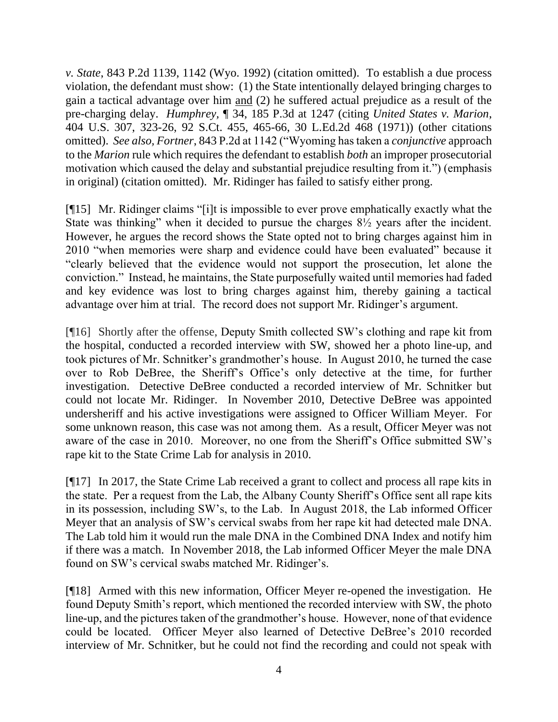*v. State*, 843 P.2d 1139, 1142 (Wyo. 1992) (citation omitted). To establish a due process violation, the defendant must show: (1) the State intentionally delayed bringing charges to gain a tactical advantage over him and (2) he suffered actual prejudice as a result of the pre-charging delay. *Humphrey,* ¶ 34, 185 P.3d at 1247 (citing *United States v. Marion*, 404 U.S. 307, 323-26, 92 S.Ct. 455, 465-66, 30 L.Ed.2d 468 (1971)) (other citations omitted). *See also, Fortner*, 843 P.2d at 1142 ("Wyoming has taken a *conjunctive* approach to the *Marion* rule which requires the defendant to establish *both* an improper prosecutorial motivation which caused the delay and substantial prejudice resulting from it.") (emphasis in original) (citation omitted). Mr. Ridinger has failed to satisfy either prong.

[¶15] Mr. Ridinger claims "[i]t is impossible to ever prove emphatically exactly what the State was thinking" when it decided to pursue the charges  $8\frac{1}{2}$  years after the incident. However, he argues the record shows the State opted not to bring charges against him in 2010 "when memories were sharp and evidence could have been evaluated" because it "clearly believed that the evidence would not support the prosecution, let alone the conviction." Instead, he maintains, the State purposefully waited until memories had faded and key evidence was lost to bring charges against him, thereby gaining a tactical advantage over him at trial. The record does not support Mr. Ridinger's argument.

[¶16] Shortly after the offense, Deputy Smith collected SW's clothing and rape kit from the hospital, conducted a recorded interview with SW, showed her a photo line-up, and took pictures of Mr. Schnitker's grandmother's house. In August 2010, he turned the case over to Rob DeBree, the Sheriff's Office's only detective at the time, for further investigation. Detective DeBree conducted a recorded interview of Mr. Schnitker but could not locate Mr. Ridinger. In November 2010, Detective DeBree was appointed undersheriff and his active investigations were assigned to Officer William Meyer. For some unknown reason, this case was not among them. As a result, Officer Meyer was not aware of the case in 2010. Moreover, no one from the Sheriff's Office submitted SW's rape kit to the State Crime Lab for analysis in 2010.

[¶17] In 2017, the State Crime Lab received a grant to collect and process all rape kits in the state. Per a request from the Lab, the Albany County Sheriff's Office sent all rape kits in its possession, including SW's, to the Lab. In August 2018, the Lab informed Officer Meyer that an analysis of SW's cervical swabs from her rape kit had detected male DNA. The Lab told him it would run the male DNA in the Combined DNA Index and notify him if there was a match. In November 2018, the Lab informed Officer Meyer the male DNA found on SW's cervical swabs matched Mr. Ridinger's.

[¶18] Armed with this new information, Officer Meyer re-opened the investigation. He found Deputy Smith's report, which mentioned the recorded interview with SW, the photo line-up, and the pictures taken of the grandmother's house. However, none of that evidence could be located. Officer Meyer also learned of Detective DeBree's 2010 recorded interview of Mr. Schnitker, but he could not find the recording and could not speak with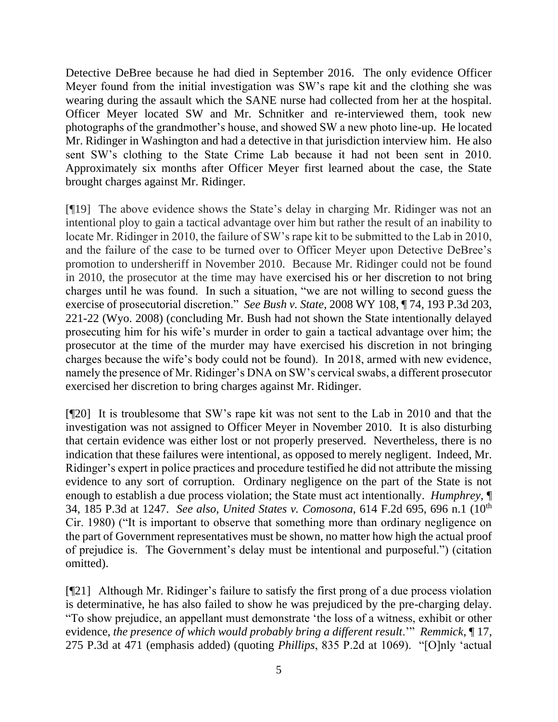Detective DeBree because he had died in September 2016. The only evidence Officer Meyer found from the initial investigation was SW's rape kit and the clothing she was wearing during the assault which the SANE nurse had collected from her at the hospital. Officer Meyer located SW and Mr. Schnitker and re-interviewed them, took new photographs of the grandmother's house, and showed SW a new photo line-up. He located Mr. Ridinger in Washington and had a detective in that jurisdiction interview him. He also sent SW's clothing to the State Crime Lab because it had not been sent in 2010. Approximately six months after Officer Meyer first learned about the case, the State brought charges against Mr. Ridinger.

[¶19] The above evidence shows the State's delay in charging Mr. Ridinger was not an intentional ploy to gain a tactical advantage over him but rather the result of an inability to locate Mr. Ridinger in 2010, the failure of SW's rape kit to be submitted to the Lab in 2010, and the failure of the case to be turned over to Officer Meyer upon Detective DeBree's promotion to undersheriff in November 2010. Because Mr. Ridinger could not be found in 2010, the prosecutor at the time may have exercised his or her discretion to not bring charges until he was found. In such a situation, "we are not willing to second guess the exercise of prosecutorial discretion." *See Bush v. State*, 2008 WY 108, ¶ 74, 193 P.3d 203, 221-22 (Wyo. 2008) (concluding Mr. Bush had not shown the State intentionally delayed prosecuting him for his wife's murder in order to gain a tactical advantage over him; the prosecutor at the time of the murder may have exercised his discretion in not bringing charges because the wife's body could not be found). In 2018, armed with new evidence, namely the presence of Mr. Ridinger's DNA on SW's cervical swabs, a different prosecutor exercised her discretion to bring charges against Mr. Ridinger.

[¶20] It is troublesome that SW's rape kit was not sent to the Lab in 2010 and that the investigation was not assigned to Officer Meyer in November 2010. It is also disturbing that certain evidence was either lost or not properly preserved. Nevertheless, there is no indication that these failures were intentional, as opposed to merely negligent. Indeed, Mr. Ridinger's expert in police practices and procedure testified he did not attribute the missing evidence to any sort of corruption. Ordinary negligence on the part of the State is not enough to establish a due process violation; the State must act intentionally. *Humphrey,* ¶ 34, 185 P.3d at 1247. *See also, United States v. Comosona*, 614 F.2d 695, 696 n.1 (10th Cir. 1980) ("It is important to observe that something more than ordinary negligence on the part of Government representatives must be shown, no matter how high the actual proof of prejudice is. The Government's delay must be intentional and purposeful.") (citation omitted).

[¶21] Although Mr. Ridinger's failure to satisfy the first prong of a due process violation is determinative, he has also failed to show he was prejudiced by the pre-charging delay. "To show prejudice, an appellant must demonstrate 'the loss of a witness, exhibit or other evidence, *the presence of which would probably bring a different result*.'" *Remmick*, ¶ 17, 275 P.3d at 471 (emphasis added) (quoting *Phillips*, 835 P.2d at 1069). "[O]nly 'actual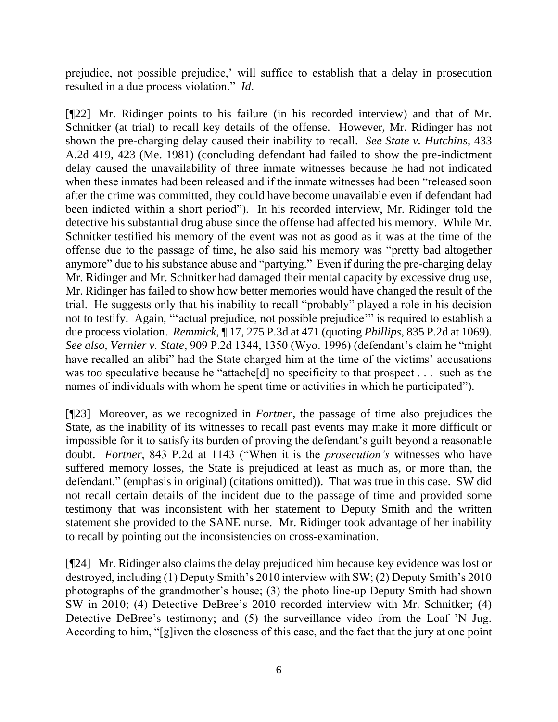prejudice, not possible prejudice,' will suffice to establish that a delay in prosecution resulted in a due process violation." *Id*.

[¶22] Mr. Ridinger points to his failure (in his recorded interview) and that of Mr. Schnitker (at trial) to recall key details of the offense. However, Mr. Ridinger has not shown the pre-charging delay caused their inability to recall. *See State v. Hutchins*, 433 A.2d 419, 423 (Me. 1981) (concluding defendant had failed to show the pre-indictment delay caused the unavailability of three inmate witnesses because he had not indicated when these inmates had been released and if the inmate witnesses had been "released soon after the crime was committed, they could have become unavailable even if defendant had been indicted within a short period"). In his recorded interview, Mr. Ridinger told the detective his substantial drug abuse since the offense had affected his memory. While Mr. Schnitker testified his memory of the event was not as good as it was at the time of the offense due to the passage of time, he also said his memory was "pretty bad altogether anymore" due to his substance abuse and "partying." Even if during the pre-charging delay Mr. Ridinger and Mr. Schnitker had damaged their mental capacity by excessive drug use, Mr. Ridinger has failed to show how better memories would have changed the result of the trial. He suggests only that his inability to recall "probably" played a role in his decision not to testify. Again, "'actual prejudice, not possible prejudice'" is required to establish a due process violation. *Remmick*, ¶ 17, 275 P.3d at 471 (quoting *Phillips*, 835 P.2d at 1069). *See also, Vernier v. State*, 909 P.2d 1344, 1350 (Wyo. 1996) (defendant's claim he "might have recalled an alibi" had the State charged him at the time of the victims' accusations was too speculative because he "attache<sup>[d]</sup> no specificity to that prospect . . . such as the names of individuals with whom he spent time or activities in which he participated").

[¶23] Moreover, as we recognized in *Fortner*, the passage of time also prejudices the State, as the inability of its witnesses to recall past events may make it more difficult or impossible for it to satisfy its burden of proving the defendant's guilt beyond a reasonable doubt. *Fortner*, 843 P.2d at 1143 ("When it is the *prosecution's* witnesses who have suffered memory losses, the State is prejudiced at least as much as, or more than, the defendant." (emphasis in original) (citations omitted)). That was true in this case. SW did not recall certain details of the incident due to the passage of time and provided some testimony that was inconsistent with her statement to Deputy Smith and the written statement she provided to the SANE nurse. Mr. Ridinger took advantage of her inability to recall by pointing out the inconsistencies on cross-examination.

[¶24] Mr. Ridinger also claims the delay prejudiced him because key evidence was lost or destroyed, including (1) Deputy Smith's 2010 interview with SW; (2) Deputy Smith's 2010 photographs of the grandmother's house; (3) the photo line-up Deputy Smith had shown SW in 2010; (4) Detective DeBree's 2010 recorded interview with Mr. Schnitker; (4) Detective DeBree's testimony; and (5) the surveillance video from the Loaf 'N Jug. According to him, "[g]iven the closeness of this case, and the fact that the jury at one point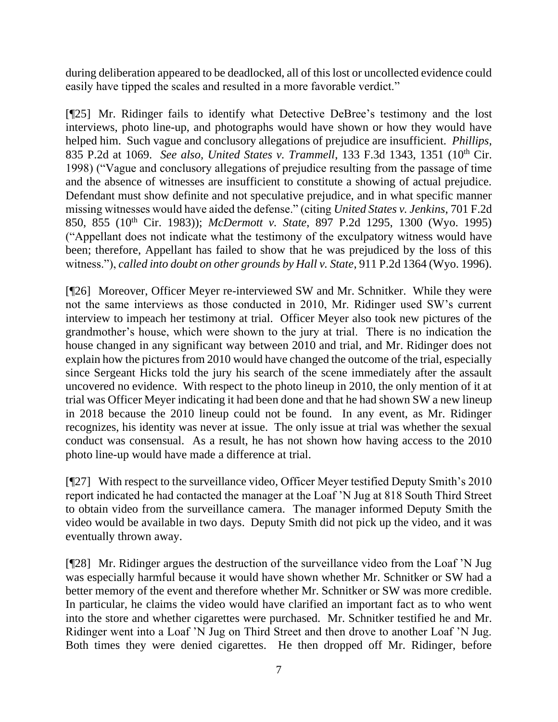during deliberation appeared to be deadlocked, all of this lost or uncollected evidence could easily have tipped the scales and resulted in a more favorable verdict."

[¶25] Mr. Ridinger fails to identify what Detective DeBree's testimony and the lost interviews, photo line-up, and photographs would have shown or how they would have helped him. Such vague and conclusory allegations of prejudice are insufficient. *Phillips*, 835 P.2d at 1069. *See also, United States v. Trammell*, 133 F.3d 1343, 1351 (10<sup>th</sup> Cir. 1998) ("Vague and conclusory allegations of prejudice resulting from the passage of time and the absence of witnesses are insufficient to constitute a showing of actual prejudice. Defendant must show definite and not speculative prejudice, and in what specific manner missing witnesses would have aided the defense." (citing *United States v. Jenkins*, 701 F.2d 850, 855 (10th Cir. 1983)); *McDermott v. State*, 897 P.2d 1295, 1300 (Wyo. 1995) ("Appellant does not indicate what the testimony of the exculpatory witness would have been; therefore, Appellant has failed to show that he was prejudiced by the loss of this witness."), *called into doubt on other grounds by Hall v. State*, 911 P.2d 1364 (Wyo. 1996).

[¶26] Moreover, Officer Meyer re-interviewed SW and Mr. Schnitker. While they were not the same interviews as those conducted in 2010, Mr. Ridinger used SW's current interview to impeach her testimony at trial. Officer Meyer also took new pictures of the grandmother's house, which were shown to the jury at trial. There is no indication the house changed in any significant way between 2010 and trial, and Mr. Ridinger does not explain how the pictures from 2010 would have changed the outcome of the trial, especially since Sergeant Hicks told the jury his search of the scene immediately after the assault uncovered no evidence. With respect to the photo lineup in 2010, the only mention of it at trial was Officer Meyer indicating it had been done and that he had shown SW a new lineup in 2018 because the 2010 lineup could not be found. In any event, as Mr. Ridinger recognizes, his identity was never at issue. The only issue at trial was whether the sexual conduct was consensual. As a result, he has not shown how having access to the 2010 photo line-up would have made a difference at trial.

[¶27] With respect to the surveillance video, Officer Meyer testified Deputy Smith's 2010 report indicated he had contacted the manager at the Loaf 'N Jug at 818 South Third Street to obtain video from the surveillance camera. The manager informed Deputy Smith the video would be available in two days. Deputy Smith did not pick up the video, and it was eventually thrown away.

[¶28] Mr. Ridinger argues the destruction of the surveillance video from the Loaf 'N Jug was especially harmful because it would have shown whether Mr. Schnitker or SW had a better memory of the event and therefore whether Mr. Schnitker or SW was more credible. In particular, he claims the video would have clarified an important fact as to who went into the store and whether cigarettes were purchased. Mr. Schnitker testified he and Mr. Ridinger went into a Loaf 'N Jug on Third Street and then drove to another Loaf 'N Jug. Both times they were denied cigarettes. He then dropped off Mr. Ridinger, before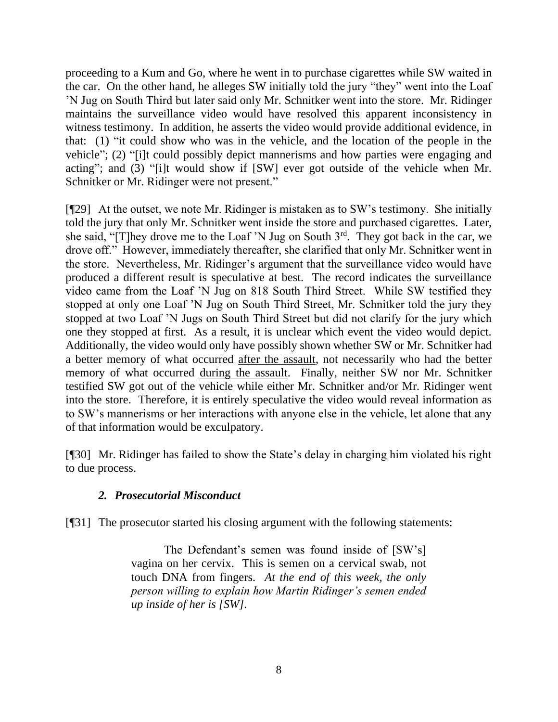proceeding to a Kum and Go, where he went in to purchase cigarettes while SW waited in the car. On the other hand, he alleges SW initially told the jury "they" went into the Loaf 'N Jug on South Third but later said only Mr. Schnitker went into the store. Mr. Ridinger maintains the surveillance video would have resolved this apparent inconsistency in witness testimony. In addition, he asserts the video would provide additional evidence, in that: (1) "it could show who was in the vehicle, and the location of the people in the vehicle"; (2) "[i]t could possibly depict mannerisms and how parties were engaging and acting"; and (3) "[i]t would show if [SW] ever got outside of the vehicle when Mr. Schnitker or Mr. Ridinger were not present."

[¶29] At the outset, we note Mr. Ridinger is mistaken as to SW's testimony. She initially told the jury that only Mr. Schnitker went inside the store and purchased cigarettes. Later, she said, "[T]hey drove me to the Loaf 'N Jug on South  $3^{rd}$ . They got back in the car, we drove off." However, immediately thereafter, she clarified that only Mr. Schnitker went in the store. Nevertheless, Mr. Ridinger's argument that the surveillance video would have produced a different result is speculative at best. The record indicates the surveillance video came from the Loaf 'N Jug on 818 South Third Street. While SW testified they stopped at only one Loaf 'N Jug on South Third Street, Mr. Schnitker told the jury they stopped at two Loaf 'N Jugs on South Third Street but did not clarify for the jury which one they stopped at first. As a result, it is unclear which event the video would depict. Additionally, the video would only have possibly shown whether SW or Mr. Schnitker had a better memory of what occurred after the assault, not necessarily who had the better memory of what occurred during the assault. Finally, neither SW nor Mr. Schnitker testified SW got out of the vehicle while either Mr. Schnitker and/or Mr. Ridinger went into the store. Therefore, it is entirely speculative the video would reveal information as to SW's mannerisms or her interactions with anyone else in the vehicle, let alone that any of that information would be exculpatory.

[¶30] Mr. Ridinger has failed to show the State's delay in charging him violated his right to due process.

## *2. Prosecutorial Misconduct*

[¶31] The prosecutor started his closing argument with the following statements:

The Defendant's semen was found inside of [SW's] vagina on her cervix. This is semen on a cervical swab, not touch DNA from fingers. *At the end of this week, the only person willing to explain how Martin Ridinger's semen ended up inside of her is [SW]*.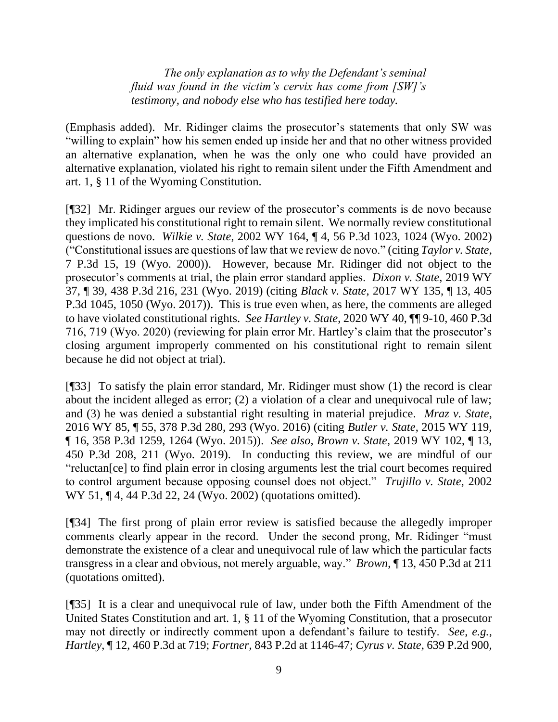*The only explanation as to why the Defendant's seminal fluid was found in the victim's cervix has come from [SW]'s testimony, and nobody else who has testified here today.*

(Emphasis added). Mr. Ridinger claims the prosecutor's statements that only SW was "willing to explain" how his semen ended up inside her and that no other witness provided an alternative explanation, when he was the only one who could have provided an alternative explanation, violated his right to remain silent under the Fifth Amendment and art. 1, § 11 of the Wyoming Constitution.

[¶32] Mr. Ridinger argues our review of the prosecutor's comments is de novo because they implicated his constitutional right to remain silent. We normally review constitutional questions de novo. *Wilkie v. State*, 2002 WY 164, ¶ 4, 56 P.3d 1023, 1024 (Wyo. 2002) ("Constitutional issues are questions of law that we review de novo." (citing *Taylor v. State*, 7 P.3d 15, 19 (Wyo. 2000)). However, because Mr. Ridinger did not object to the prosecutor's comments at trial, the plain error standard applies. *Dixon v. State*, 2019 WY 37, ¶ 39, 438 P.3d 216, 231 (Wyo. 2019) (citing *Black v. State*, 2017 WY 135, ¶ 13, 405 P.3d 1045, 1050 (Wyo. 2017)). This is true even when, as here, the comments are alleged to have violated constitutional rights. *See Hartley v. State*, 2020 WY 40, ¶¶ 9-10, 460 P.3d 716, 719 (Wyo. 2020) (reviewing for plain error Mr. Hartley's claim that the prosecutor's closing argument improperly commented on his constitutional right to remain silent because he did not object at trial).

[¶33] To satisfy the plain error standard, Mr. Ridinger must show (1) the record is clear about the incident alleged as error; (2) a violation of a clear and unequivocal rule of law; and (3) he was denied a substantial right resulting in material prejudice. *Mraz v. State*, 2016 WY 85, ¶ 55, 378 P.3d 280, 293 (Wyo. 2016) (citing *Butler v. State*, 2015 WY 119, ¶ 16, 358 P.3d 1259, 1264 (Wyo. 2015)). *See also, Brown v. State*, 2019 WY 102, ¶ 13, 450 P.3d 208, 211 (Wyo. 2019). In conducting this review, we are mindful of our "reluctan[ce] to find plain error in closing arguments lest the trial court becomes required to control argument because opposing counsel does not object." *Trujillo v. State*, 2002 WY 51, ¶ 4, 44 P.3d 22, 24 (Wyo. 2002) (quotations omitted).

[¶34] The first prong of plain error review is satisfied because the allegedly improper comments clearly appear in the record. Under the second prong, Mr. Ridinger "must demonstrate the existence of a clear and unequivocal rule of law which the particular facts transgress in a clear and obvious, not merely arguable, way." *Brown*, ¶ 13, 450 P.3d at 211 (quotations omitted).

[¶35] It is a clear and unequivocal rule of law, under both the Fifth Amendment of the United States Constitution and art. 1, § 11 of the Wyoming Constitution, that a prosecutor may not directly or indirectly comment upon a defendant's failure to testify. *See, e.g., Hartley*, ¶ 12, 460 P.3d at 719; *Fortner*, 843 P.2d at 1146-47; *Cyrus v. State*, 639 P.2d 900,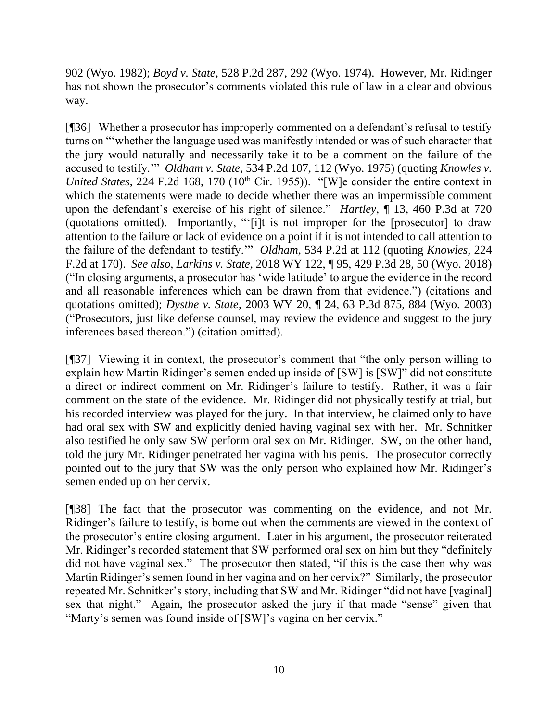902 (Wyo. 1982); *Boyd v. State*, 528 P.2d 287, 292 (Wyo. 1974). However, Mr. Ridinger has not shown the prosecutor's comments violated this rule of law in a clear and obvious way.

[¶36] Whether a prosecutor has improperly commented on a defendant's refusal to testify turns on "'whether the language used was manifestly intended or was of such character that the jury would naturally and necessarily take it to be a comment on the failure of the accused to testify.'" *Oldham v. State*, 534 P.2d 107, 112 (Wyo. 1975) (quoting *Knowles v. United States*, 224 F.2d 168, 170 (10<sup>th</sup> Cir. 1955)). "[W]e consider the entire context in which the statements were made to decide whether there was an impermissible comment upon the defendant's exercise of his right of silence." *Hartley*, ¶ 13, 460 P.3d at 720 (quotations omitted). Importantly, "'[i]t is not improper for the [prosecutor] to draw attention to the failure or lack of evidence on a point if it is not intended to call attention to the failure of the defendant to testify.'" *Oldham*, 534 P.2d at 112 (quoting *Knowles*, 224 F.2d at 170). *See also, Larkins v. State,* 2018 WY 122, ¶ 95, 429 P.3d 28, 50 (Wyo. 2018) ("In closing arguments, a prosecutor has 'wide latitude' to argue the evidence in the record and all reasonable inferences which can be drawn from that evidence.") (citations and quotations omitted); *Dysthe v. State*, 2003 WY 20, ¶ 24, 63 P.3d 875, 884 (Wyo. 2003) ("Prosecutors, just like defense counsel, may review the evidence and suggest to the jury inferences based thereon.") (citation omitted).

[¶37] Viewing it in context, the prosecutor's comment that "the only person willing to explain how Martin Ridinger's semen ended up inside of [SW] is [SW]" did not constitute a direct or indirect comment on Mr. Ridinger's failure to testify. Rather, it was a fair comment on the state of the evidence. Mr. Ridinger did not physically testify at trial, but his recorded interview was played for the jury. In that interview, he claimed only to have had oral sex with SW and explicitly denied having vaginal sex with her. Mr. Schnitker also testified he only saw SW perform oral sex on Mr. Ridinger. SW, on the other hand, told the jury Mr. Ridinger penetrated her vagina with his penis. The prosecutor correctly pointed out to the jury that SW was the only person who explained how Mr. Ridinger's semen ended up on her cervix.

[¶38] The fact that the prosecutor was commenting on the evidence, and not Mr. Ridinger's failure to testify, is borne out when the comments are viewed in the context of the prosecutor's entire closing argument. Later in his argument, the prosecutor reiterated Mr. Ridinger's recorded statement that SW performed oral sex on him but they "definitely did not have vaginal sex." The prosecutor then stated, "if this is the case then why was Martin Ridinger's semen found in her vagina and on her cervix?" Similarly, the prosecutor repeated Mr. Schnitker's story, including that SW and Mr. Ridinger "did not have [vaginal] sex that night." Again, the prosecutor asked the jury if that made "sense" given that "Marty's semen was found inside of [SW]'s vagina on her cervix."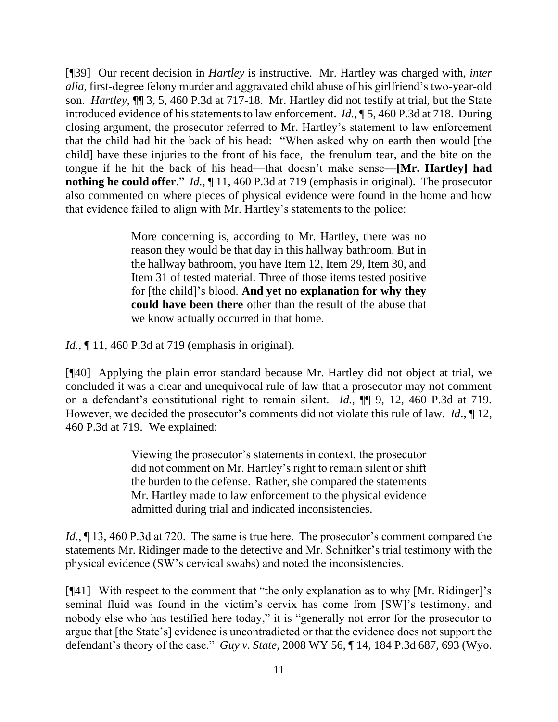[¶39] Our recent decision in *Hartley* is instructive. Mr. Hartley was charged with, *inter alia*, first-degree felony murder and aggravated child abuse of his girlfriend's two-year-old son. *Hartley*, ¶¶ 3, 5, 460 P.3d at 717-18. Mr. Hartley did not testify at trial, but the State introduced evidence of his statements to law enforcement. *Id.*, ¶ 5, 460 P.3d at 718. During closing argument, the prosecutor referred to Mr. Hartley's statement to law enforcement that the child had hit the back of his head: "When asked why on earth then would [the child] have these injuries to the front of his face, the frenulum tear, and the bite on the tongue if he hit the back of his head—that doesn't make sense**—[Mr. Hartley] had nothing he could offer**." *Id.*, ¶ 11, 460 P.3d at 719 (emphasis in original). The prosecutor also commented on where pieces of physical evidence were found in the home and how that evidence failed to align with Mr. Hartley's statements to the police:

> More concerning is, according to Mr. Hartley, there was no reason they would be that day in this hallway bathroom. But in the hallway bathroom, you have Item 12, Item 29, Item 30, and Item 31 of tested material. Three of those items tested positive for [the child]'s blood. **And yet no explanation for why they could have been there** other than the result of the abuse that we know actually occurred in that home.

*Id.*, 11, 460 P.3d at 719 (emphasis in original).

[¶40] Applying the plain error standard because Mr. Hartley did not object at trial, we concluded it was a clear and unequivocal rule of law that a prosecutor may not comment on a defendant's constitutional right to remain silent. *Id.*, ¶¶ 9, 12, 460 P.3d at 719. However, we decided the prosecutor's comments did not violate this rule of law. *Id*., ¶ 12, 460 P.3d at 719. We explained:

> Viewing the prosecutor's statements in context, the prosecutor did not comment on Mr. Hartley's right to remain silent or shift the burden to the defense. Rather, she compared the statements Mr. Hartley made to law enforcement to the physical evidence admitted during trial and indicated inconsistencies.

*Id.*,  $\sim$  13, 460 P.3d at 720. The same is true here. The prosecutor's comment compared the statements Mr. Ridinger made to the detective and Mr. Schnitker's trial testimony with the physical evidence (SW's cervical swabs) and noted the inconsistencies.

[¶41] With respect to the comment that "the only explanation as to why [Mr. Ridinger]'s seminal fluid was found in the victim's cervix has come from [SW]'s testimony, and nobody else who has testified here today," it is "generally not error for the prosecutor to argue that [the State's] evidence is uncontradicted or that the evidence does not support the defendant's theory of the case." *Guy v. State*, 2008 WY 56, ¶ 14, 184 P.3d 687, 693 (Wyo.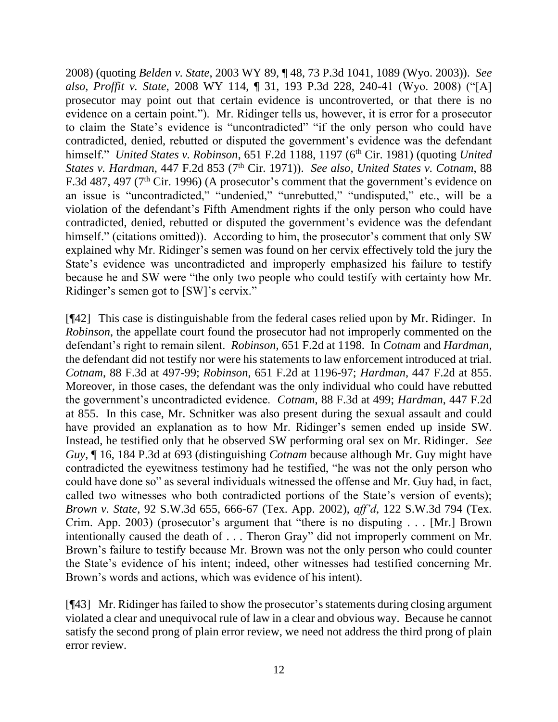2008) (quoting *Belden v. State*, 2003 WY 89, ¶ 48, 73 P.3d 1041, 1089 (Wyo. 2003)). *See also, Proffit v. State*, 2008 WY 114, ¶ 31, 193 P.3d 228, 240-41 (Wyo. 2008) ("[A] prosecutor may point out that certain evidence is uncontroverted, or that there is no evidence on a certain point."). Mr. Ridinger tells us, however, it is error for a prosecutor to claim the State's evidence is "uncontradicted" "if the only person who could have contradicted, denied, rebutted or disputed the government's evidence was the defendant himself." *United States v. Robinson*, 651 F.2d 1188, 1197 (6<sup>th</sup> Cir. 1981) (quoting *United States v. Hardman, 447 F.2d 853 (7<sup>th</sup> Cir. 1971)). <i>See also, United States v. Cotnam, 88* F.3d 487, 497 ( $7<sup>th</sup>$  Cir. 1996) (A prosecutor's comment that the government's evidence on an issue is "uncontradicted," "undenied," "unrebutted," "undisputed," etc., will be a violation of the defendant's Fifth Amendment rights if the only person who could have contradicted, denied, rebutted or disputed the government's evidence was the defendant himself." (citations omitted)). According to him, the prosecutor's comment that only SW explained why Mr. Ridinger's semen was found on her cervix effectively told the jury the State's evidence was uncontradicted and improperly emphasized his failure to testify because he and SW were "the only two people who could testify with certainty how Mr. Ridinger's semen got to [SW]'s cervix."

[¶42] This case is distinguishable from the federal cases relied upon by Mr. Ridinger. In *Robinson*, the appellate court found the prosecutor had not improperly commented on the defendant's right to remain silent. *Robinson*, 651 F.2d at 1198. In *Cotnam* and *Hardman*, the defendant did not testify nor were his statements to law enforcement introduced at trial. *Cotnam*, 88 F.3d at 497-99; *Robinson*, 651 F.2d at 1196-97; *Hardman*, 447 F.2d at 855. Moreover, in those cases, the defendant was the only individual who could have rebutted the government's uncontradicted evidence. *Cotnam*, 88 F.3d at 499; *Hardman*, 447 F.2d at 855. In this case, Mr. Schnitker was also present during the sexual assault and could have provided an explanation as to how Mr. Ridinger's semen ended up inside SW. Instead, he testified only that he observed SW performing oral sex on Mr. Ridinger. *See Guy*, ¶ 16, 184 P.3d at 693 (distinguishing *Cotnam* because although Mr. Guy might have contradicted the eyewitness testimony had he testified, "he was not the only person who could have done so" as several individuals witnessed the offense and Mr. Guy had, in fact, called two witnesses who both contradicted portions of the State's version of events); *Brown v. State*, 92 S.W.3d 655, 666-67 (Tex. App. 2002), *aff'd*, 122 S.W.3d 794 (Tex. Crim. App. 2003) (prosecutor's argument that "there is no disputing . . . [Mr.] Brown intentionally caused the death of . . . Theron Gray" did not improperly comment on Mr. Brown's failure to testify because Mr. Brown was not the only person who could counter the State's evidence of his intent; indeed, other witnesses had testified concerning Mr. Brown's words and actions, which was evidence of his intent).

[¶43] Mr. Ridinger has failed to show the prosecutor's statements during closing argument violated a clear and unequivocal rule of law in a clear and obvious way. Because he cannot satisfy the second prong of plain error review, we need not address the third prong of plain error review.